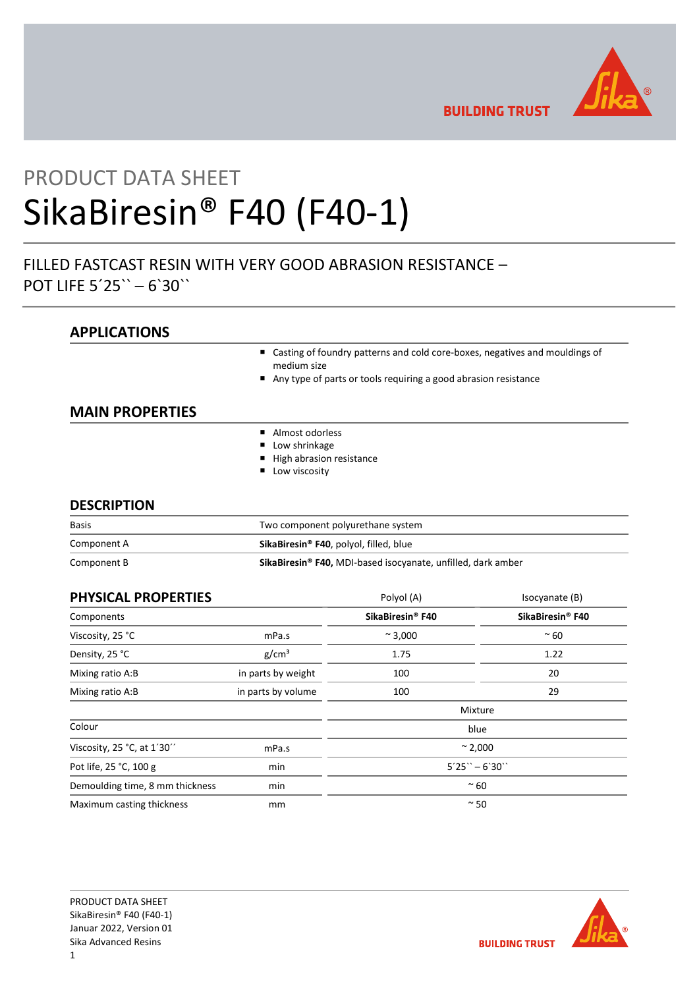

**BUILDING TRUST** 

# PRODUCT DATA SHEET SikaBiresin® F40 (F40-1)

## FILLED FASTCAST RESIN WITH VERY GOOD ABRASION RESISTANCE – POT LIFE 5´25`` ─ 6`30``

## APPLICATIONS

- Casting of foundry patterns and cold core-boxes, negatives and mouldings of medium size
- Any type of parts or tools requiring a good abrasion resistance

## MAIN PROPERTIES

- Almost odorless
- **Low shrinkage**
- High abrasion resistance
- **Low viscosity**

### **DESCRIPTION**

| <b>Basis</b> | Two component polyurethane system                                        |  |
|--------------|--------------------------------------------------------------------------|--|
| Component A  | SikaBiresin <sup>®</sup> F40, polyol, filled, blue                       |  |
| Component B  | SikaBiresin <sup>®</sup> F40, MDI-based isocyanate, unfilled, dark amber |  |

| <b>PHYSICAL PROPERTIES</b>      |                    | Polyol (A)                   | Isocyanate (B)   |
|---------------------------------|--------------------|------------------------------|------------------|
| Components                      |                    | SikaBiresin <sup>®</sup> F40 | SikaBiresin® F40 |
| Viscosity, 25 °C                | mPa.s              | $~^{\sim}$ 3,000             | $~\sim 60$       |
| Density, 25 °C                  | g/cm <sup>3</sup>  | 1.75                         | 1.22             |
| Mixing ratio A:B                | in parts by weight | 100                          | 20               |
| Mixing ratio A:B                | in parts by volume | 100                          | 29               |
|                                 |                    | Mixture                      |                  |
| Colour                          |                    |                              | blue             |
| Viscosity, 25 °C, at 1'30"      | mPa.s              | $~^{\sim}$ 2,000             |                  |
| Pot life, 25 °C, 100 g          | min                | $5'25'' - 6'30''$            |                  |
| Demoulding time, 8 mm thickness | min                | $~\sim 60$                   |                  |
| Maximum casting thickness       | mm                 | $~\sim$ 50                   |                  |

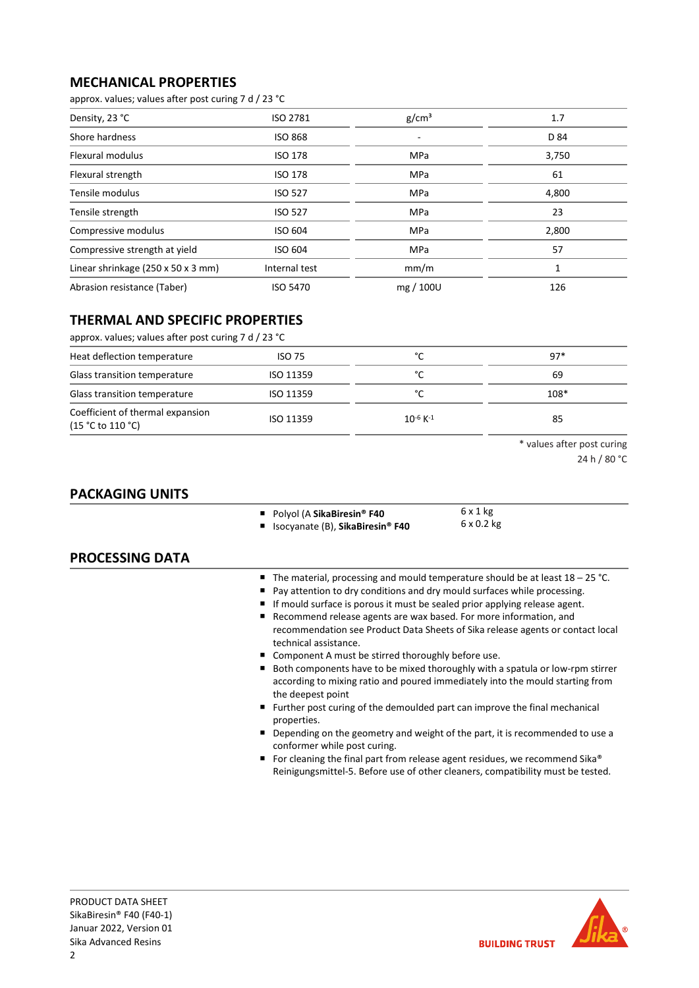## MECHANICAL PROPERTIES

approx. values; values after post curing 7 d / 23 °C

| Density, 23 °C                     | <b>ISO 2781</b> | g/cm <sup>3</sup> | 1.7   |
|------------------------------------|-----------------|-------------------|-------|
| Shore hardness                     | <b>ISO 868</b>  |                   | D 84  |
| Flexural modulus                   | <b>ISO 178</b>  | MPa               | 3,750 |
| Flexural strength                  | <b>ISO 178</b>  | <b>MPa</b>        | 61    |
| Tensile modulus                    | <b>ISO 527</b>  | <b>MPa</b>        | 4,800 |
| Tensile strength                   | <b>ISO 527</b>  | MPa               | 23    |
| Compressive modulus                | ISO 604         | MPa               | 2,800 |
| Compressive strength at yield      | <b>ISO 604</b>  | <b>MPa</b>        | 57    |
| Linear shrinkage (250 x 50 x 3 mm) | Internal test   | mm/m              |       |
| Abrasion resistance (Taber)        | <b>ISO 5470</b> | mg / 100U         | 126   |

## THERMAL AND SPECIFIC PROPERTIES

| approx. values; values after post curing 7 d / 23 °C     |               |                           |        |  |
|----------------------------------------------------------|---------------|---------------------------|--------|--|
| Heat deflection temperature                              | <b>ISO 75</b> | °C                        | $97*$  |  |
| Glass transition temperature                             | ISO 11359     | °C                        | 69     |  |
| Glass transition temperature                             | ISO 11359     | °C                        | $108*$ |  |
| Coefficient of thermal expansion<br>$(15 °C)$ to 110 °C) | ISO 11359     | $10^{-6}$ K <sup>-1</sup> | 85     |  |

\* values after post curing

24 h / 80 °C

## PACKAGING UNITS

■ Polyol (A SikaBiresin® F40

■ Isocyanate (B), SikaBiresin® F40

6 x 1 kg 6 x 0.2 kg

## PROCESSING DATA

- The material, processing and mould temperature should be at least 18 25 °C.
- Pay attention to dry conditions and dry mould surfaces while processing.
- If mould surface is porous it must be sealed prior applying release agent.
- Recommend release agents are wax based. For more information, and recommendation see Product Data Sheets of Sika release agents or contact local technical assistance.
- Component A must be stirred thoroughly before use.
- Both components have to be mixed thoroughly with a spatula or low-rpm stirrer according to mixing ratio and poured immediately into the mould starting from the deepest point
- Further post curing of the demoulded part can improve the final mechanical properties.
- Depending on the geometry and weight of the part, it is recommended to use a conformer while post curing.
- For cleaning the final part from release agent residues, we recommend Sika® Reinigungsmittel-5. Before use of other cleaners, compatibility must be tested.

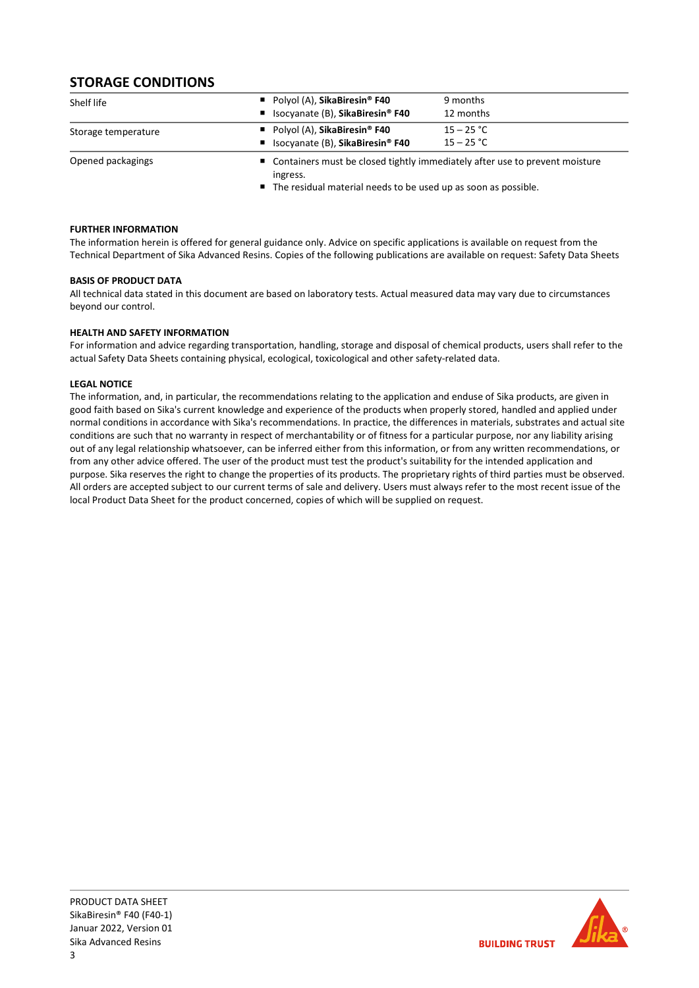## STORAGE CONDITIONS

| Shelf life          | Polyol (A), SikaBiresin <sup>®</sup> F40<br>■ Isocyanate (B), SikaBiresin <sup>®</sup> F40 | 9 months<br>12 months                                                                                                                             |  |
|---------------------|--------------------------------------------------------------------------------------------|---------------------------------------------------------------------------------------------------------------------------------------------------|--|
| Storage temperature | Polyol (A), SikaBiresin <sup>®</sup> F40<br>■ Isocyanate (B), SikaBiresin® F40             | $15 - 25 °C$<br>$15 - 25 °C$                                                                                                                      |  |
| Opened packagings   | ingress.                                                                                   | ■ Containers must be closed tightly immediately after use to prevent moisture<br>■ The residual material needs to be used up as soon as possible. |  |

FURTHER INFORMATION

The information herein is offered for general guidance only. Advice on specific applications is available on request from the Technical Department of Sika Advanced Resins. Copies of the following publications are available on request: Safety Data Sheets

#### BASIS OF PRODUCT DATA

All technical data stated in this document are based on laboratory tests. Actual measured data may vary due to circumstances beyond our control.

#### HEALTH AND SAFETY INFORMATION

For information and advice regarding transportation, handling, storage and disposal of chemical products, users shall refer to the actual Safety Data Sheets containing physical, ecological, toxicological and other safety-related data.

#### LEGAL NOTICE

The information, and, in particular, the recommendations relating to the application and enduse of Sika products, are given in good faith based on Sika's current knowledge and experience of the products when properly stored, handled and applied under normal conditions in accordance with Sika's recommendations. In practice, the differences in materials, substrates and actual site conditions are such that no warranty in respect of merchantability or of fitness for a particular purpose, nor any liability arising out of any legal relationship whatsoever, can be inferred either from this information, or from any written recommendations, or from any other advice offered. The user of the product must test the product's suitability for the intended application and purpose. Sika reserves the right to change the properties of its products. The proprietary rights of third parties must be observed. All orders are accepted subject to our current terms of sale and delivery. Users must always refer to the most recent issue of the local Product Data Sheet for the product concerned, copies of which will be supplied on request.